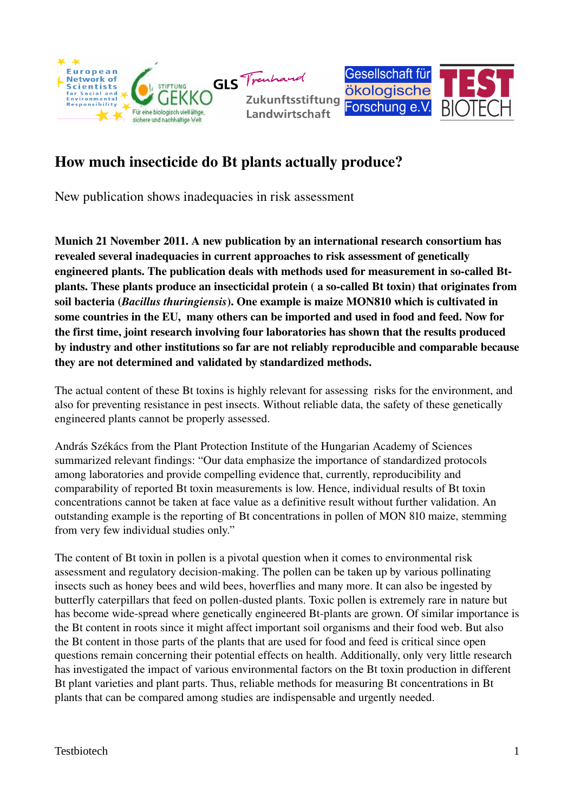



## How much insecticide do Bt plants actually produce?

New publication shows inadequacies in risk assessment

Munich 21 November 2011. A new publication by an international research consortium has revealed several inadequacies in current approaches to risk assessment of genetically engineered plants. The publication deals with methods used for measurement in socalled Btplants. These plants produce an insecticidal protein (a so-called Bt toxin) that originates from soil bacteria (*Bacillus thuringiensis*). One example is maize MON810 which is cultivated in some countries in the EU, many others can be imported and used in food and feed. Now for the first time, joint research involving four laboratories has shown that the results produced by industry and other institutions so far are not reliably reproducible and comparable because they are not determined and validated by standardized methods.

The actual content of these Bt toxins is highly relevant for assessing risks for the environment, and also for preventing resistance in pest insects. Without reliable data, the safety of these genetically engineered plants cannot be properly assessed.

András Székács from the Plant Protection Institute of the Hungarian Academy of Sciences summarized relevant findings: "Our data emphasize the importance of standardized protocols among laboratories and provide compelling evidence that, currently, reproducibility and comparability of reported Bt toxin measurements is low. Hence, individual results of Bt toxin concentrations cannot be taken at face value as a definitive result without further validation. An outstanding example is the reporting of Bt concentrations in pollen of MON 810 maize, stemming from very few individual studies only."

The content of Bt toxin in pollen is a pivotal question when it comes to environmental risk assessment and regulatory decision-making. The pollen can be taken up by various pollinating insects such as honey bees and wild bees, hoverflies and many more. It can also be ingested by butterfly caterpillars that feed on pollen-dusted plants. Toxic pollen is extremely rare in nature but has become wide-spread where genetically engineered Bt-plants are grown. Of similar importance is the Bt content in roots since it might affect important soil organisms and their food web. But also the Bt content in those parts of the plants that are used for food and feed is critical since open questions remain concerning their potential effects on health. Additionally, only very little research has investigated the impact of various environmental factors on the Bt toxin production in different Bt plant varieties and plant parts. Thus, reliable methods for measuring Bt concentrations in Bt plants that can be compared among studies are indispensable and urgently needed.